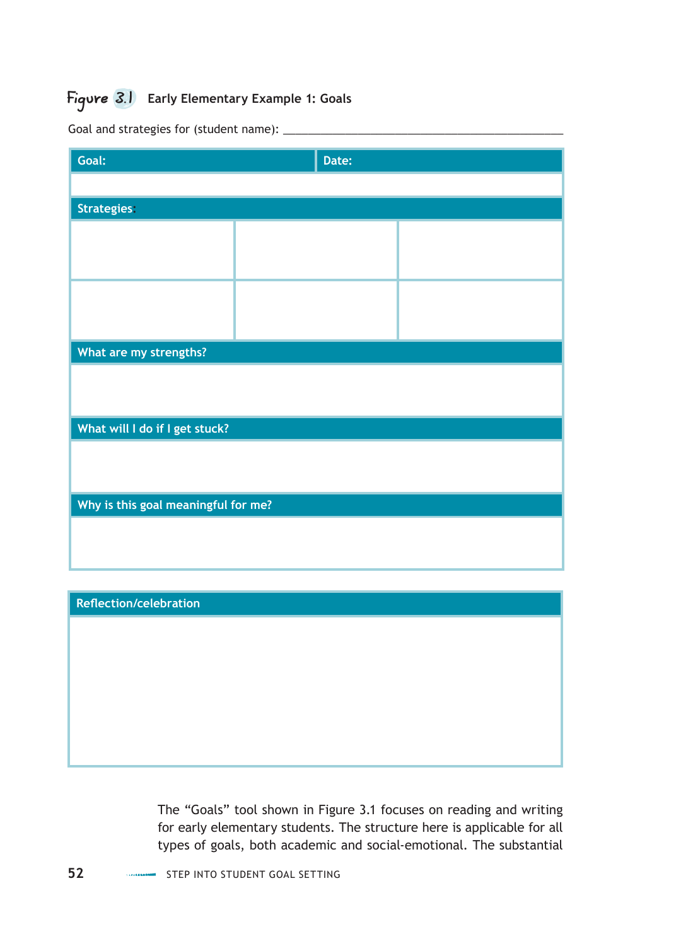## Figure 3.1 **Early Elementary Example 1: Goals**

| Goal:                               | Date: |  |
|-------------------------------------|-------|--|
|                                     |       |  |
| <b>Strategies:</b>                  |       |  |
|                                     |       |  |
|                                     |       |  |
|                                     |       |  |
|                                     |       |  |
| What are my strengths?              |       |  |
|                                     |       |  |
|                                     |       |  |
| What will I do if I get stuck?      |       |  |
|                                     |       |  |
|                                     |       |  |
| Why is this goal meaningful for me? |       |  |
|                                     |       |  |
|                                     |       |  |

Goal and strategies for (student name):  $\_\_$ 

#### **Reflection/celebration**

The "Goals" tool shown in Figure 3.1 focuses on reading and writing for early elementary students. The structure here is applicable for all types of goals, both academic and social-emotional. The substantial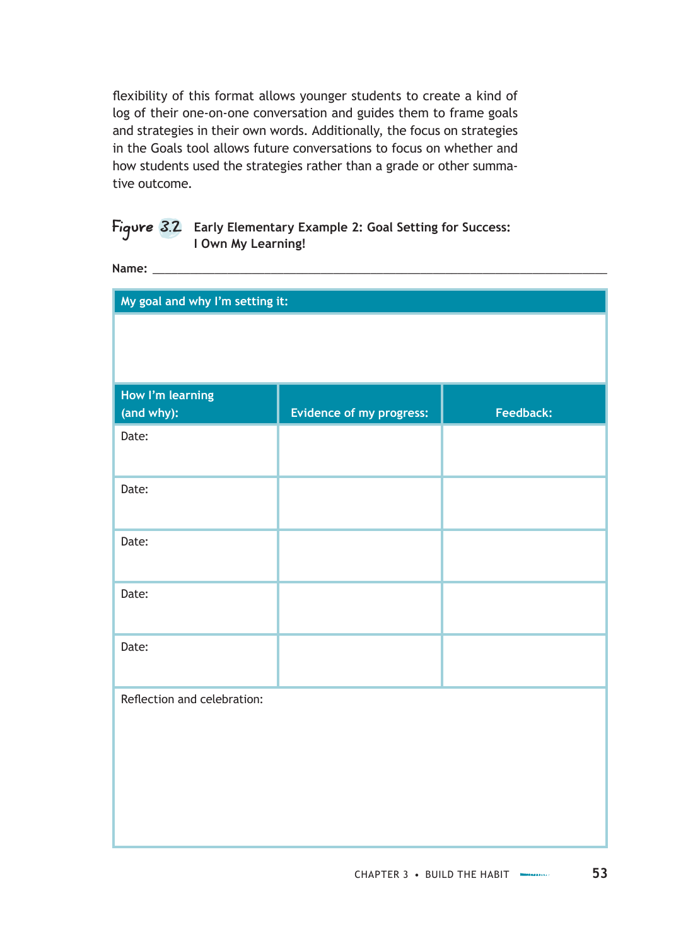flexibility of this format allows younger students to create a kind of log of their one-on-one conversation and guides them to frame goals and strategies in their own words. Additionally, the focus on strategies in the Goals tool allows future conversations to focus on whether and how students used the strategies rather than a grade or other summative outcome.

#### Figure 3.2 **Early Elementary Example 2: Goal Setting for Success: I Own My Learning!**

**Name:** \_\_\_\_\_\_\_\_\_\_\_\_\_\_\_\_\_\_\_\_\_\_\_\_\_\_\_\_\_\_\_\_\_\_\_\_\_\_\_\_\_\_\_\_\_\_\_\_\_\_\_\_\_\_\_\_\_\_\_\_\_\_\_\_\_\_\_\_\_\_\_\_\_

| My goal and why I'm setting it: |                          |           |
|---------------------------------|--------------------------|-----------|
|                                 |                          |           |
|                                 |                          |           |
| How I'm learning<br>(and why):  | Evidence of my progress: | Feedback: |
| Date:                           |                          |           |
| Date:                           |                          |           |
| Date:                           |                          |           |
| Date:                           |                          |           |
| Date:                           |                          |           |
| Reflection and celebration:     |                          |           |
|                                 |                          |           |
|                                 |                          |           |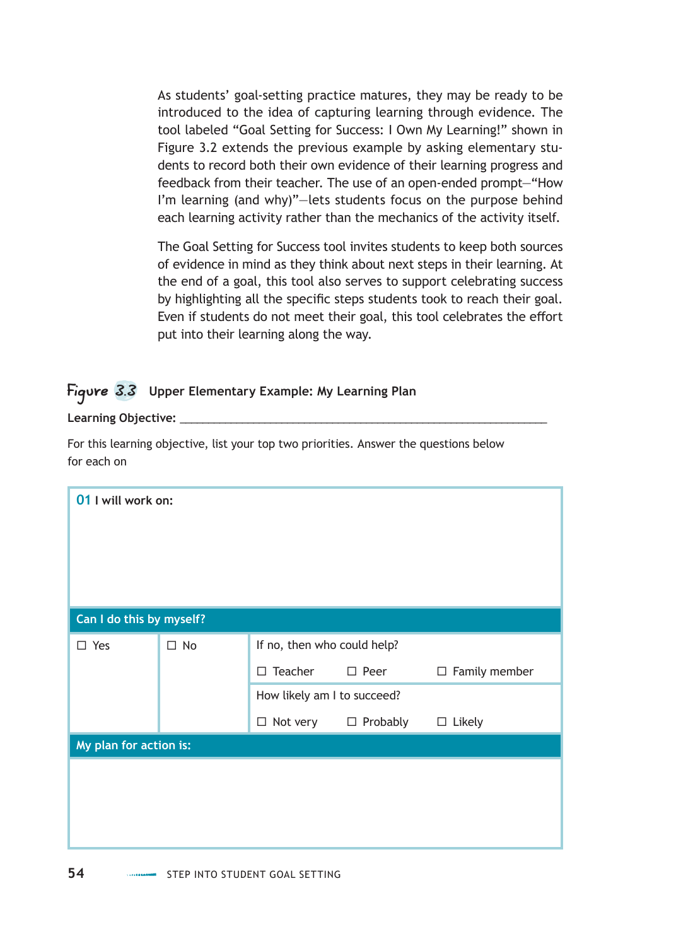As students' goal-setting practice matures, they may be ready to be introduced to the idea of capturing learning through evidence. The tool labeled "Goal Setting for Success: I Own My Learning!" shown in Figure 3.2 extends the previous example by asking elementary students to record both their own evidence of their learning progress and feedback from their teacher. The use of an open-ended prompt—"How I'm learning (and why)"—lets students focus on the purpose behind each learning activity rather than the mechanics of the activity itself.

The Goal Setting for Success tool invites students to keep both sources of evidence in mind as they think about next steps in their learning. At the end of a goal, this tool also serves to support celebrating success by highlighting all the specific steps students took to reach their goal. Even if students do not meet their goal, this tool celebrates the effort put into their learning along the way.

### Figure 3.3 **Upper Elementary Example: My Learning Plan**

Learning Objective:

For this learning objective, list your top two priorities. Answer the questions below for each on

| If no, then who could help? |  |  |
|-----------------------------|--|--|
| $\Box$ Family member        |  |  |
|                             |  |  |
| $\Box$ Likely               |  |  |
|                             |  |  |
|                             |  |  |
|                             |  |  |
|                             |  |  |
|                             |  |  |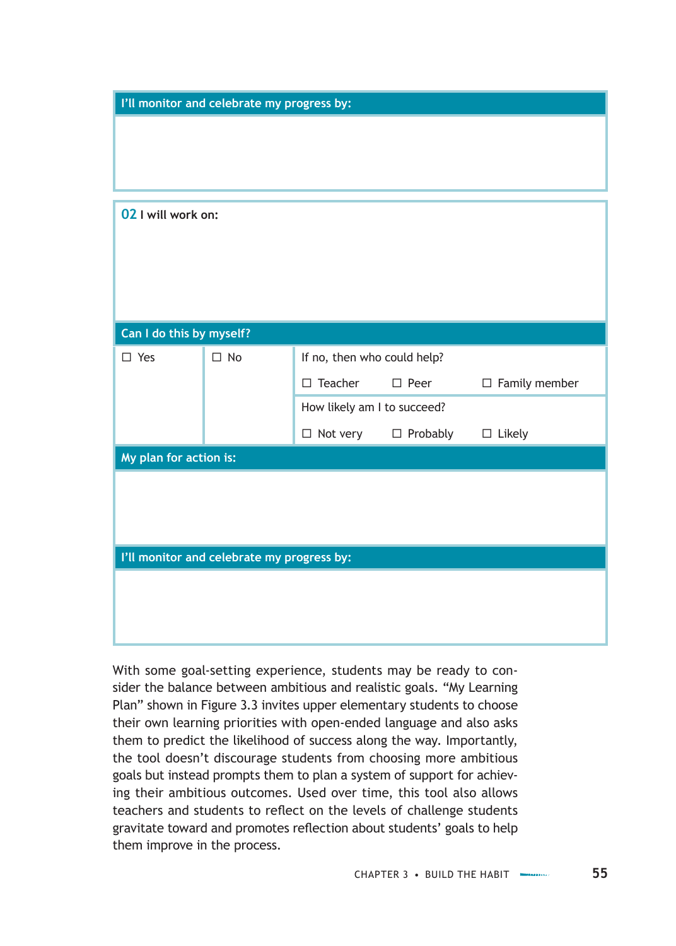| I'll monitor and celebrate my progress by: |                                            |                             |                 |                      |
|--------------------------------------------|--------------------------------------------|-----------------------------|-----------------|----------------------|
|                                            |                                            |                             |                 |                      |
|                                            |                                            |                             |                 |                      |
|                                            |                                            |                             |                 |                      |
| 02 I will work on:                         |                                            |                             |                 |                      |
|                                            |                                            |                             |                 |                      |
|                                            |                                            |                             |                 |                      |
|                                            |                                            |                             |                 |                      |
|                                            |                                            |                             |                 |                      |
| Can I do this by myself?                   |                                            |                             |                 |                      |
| $\square$ Yes                              | $\square$ No                               | If no, then who could help? |                 |                      |
|                                            |                                            | $\square$ Teacher           | $\square$ Peer  | $\Box$ Family member |
|                                            |                                            | How likely am I to succeed? |                 |                      |
|                                            |                                            | $\Box$ Not very             | $\Box$ Probably | $\Box$ Likely        |
| My plan for action is:                     |                                            |                             |                 |                      |
|                                            |                                            |                             |                 |                      |
|                                            |                                            |                             |                 |                      |
|                                            |                                            |                             |                 |                      |
|                                            | I'll monitor and celebrate my progress by: |                             |                 |                      |
|                                            |                                            |                             |                 |                      |
|                                            |                                            |                             |                 |                      |
|                                            |                                            |                             |                 |                      |

With some goal-setting experience, students may be ready to consider the balance between ambitious and realistic goals. "My Learning Plan" shown in Figure 3.3 invites upper elementary students to choose their own learning priorities with open-ended language and also asks them to predict the likelihood of success along the way. Importantly, the tool doesn't discourage students from choosing more ambitious goals but instead prompts them to plan a system of support for achieving their ambitious outcomes. Used over time, this tool also allows teachers and students to reflect on the levels of challenge students gravitate toward and promotes reflection about students' goals to help them improve in the process.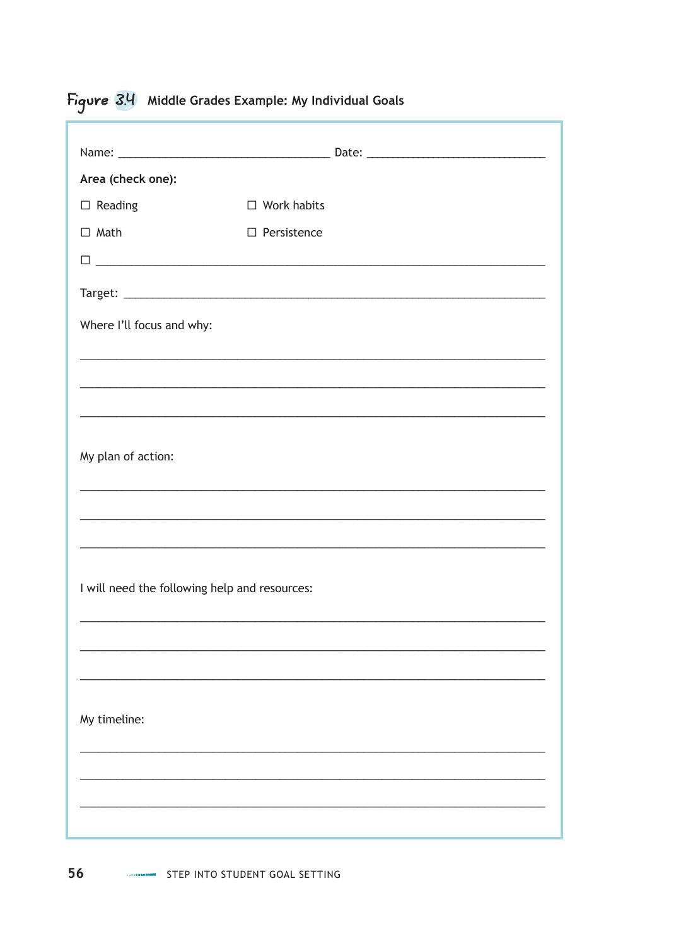# Figure 3.4 Middle Grades Example: My Individual Goals

| Area (check one):         |                                               |                                                                                                                      |
|---------------------------|-----------------------------------------------|----------------------------------------------------------------------------------------------------------------------|
| $\square$ Reading         | $\Box$ Work habits                            |                                                                                                                      |
| $\Box$ Math               | $\Box$ Persistence                            |                                                                                                                      |
|                           |                                               |                                                                                                                      |
|                           |                                               |                                                                                                                      |
| Where I'll focus and why: |                                               |                                                                                                                      |
|                           |                                               |                                                                                                                      |
|                           |                                               | ,我们也不能在这里的人,我们也不能在这里的人,我们也不能在这里的人,我们也不能在这里的人,我们也不能在这里的人,我们也不能在这里的人,我们也不能在这里的人,我们也                                    |
|                           |                                               |                                                                                                                      |
| My plan of action:        |                                               |                                                                                                                      |
|                           |                                               |                                                                                                                      |
|                           |                                               | <u> 1999 - 1999 - 1999 - 1999 - 1999 - 1999 - 1999 - 1999 - 1999 - 1999 - 1999 - 1999 - 1999 - 1999 - 1999 - 199</u> |
|                           |                                               |                                                                                                                      |
|                           | I will need the following help and resources: |                                                                                                                      |
|                           |                                               |                                                                                                                      |
|                           |                                               | <u> 1989 - Johann Stoff, amerikansk politiker (d. 1989)</u>                                                          |
|                           |                                               |                                                                                                                      |
|                           |                                               |                                                                                                                      |
| My timeline:              |                                               |                                                                                                                      |
|                           |                                               |                                                                                                                      |
|                           |                                               |                                                                                                                      |
|                           |                                               |                                                                                                                      |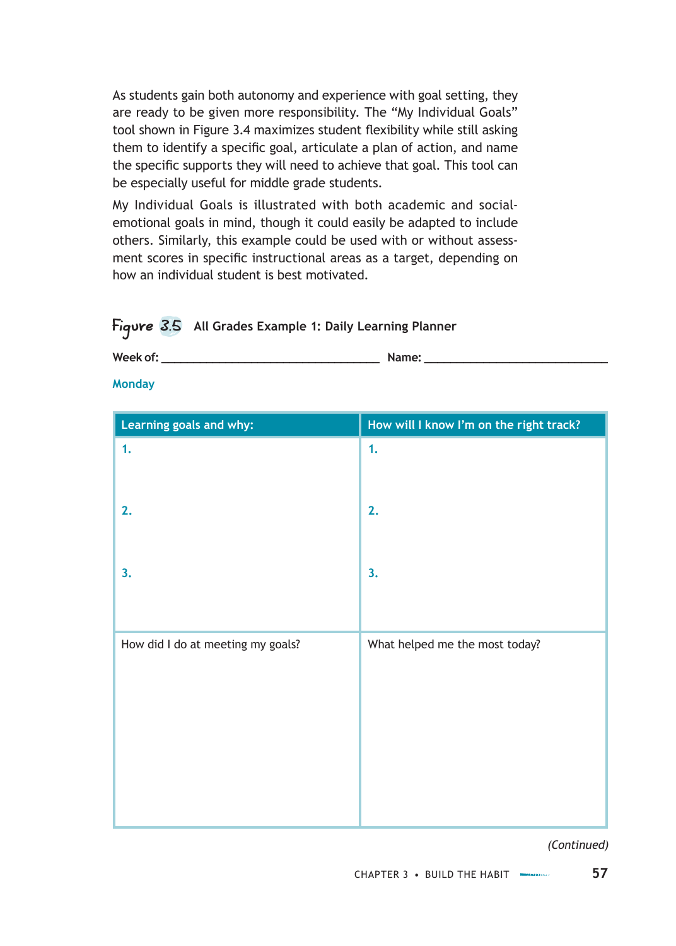As students gain both autonomy and experience with goal setting, they are ready to be given more responsibility. The "My Individual Goals" tool shown in Figure 3.4 maximizes student flexibility while still asking them to identify a specific goal, articulate a plan of action, and name the specific supports they will need to achieve that goal. This tool can be especially useful for middle grade students.

My Individual Goals is illustrated with both academic and socialemotional goals in mind, though it could easily be adapted to include others. Similarly, this example could be used with or without assessment scores in specific instructional areas as a target, depending on how an individual student is best motivated.

#### Figure 3.5 **All Grades Example 1: Daily Learning Planner**

| Week of:   | Jame'   |
|------------|---------|
| ,,,,,,,,,, | 114111C |
|            |         |

**Monday**

| Learning goals and why:           | How will I know I'm on the right track? |
|-----------------------------------|-----------------------------------------|
| 1.                                | 1.                                      |
| 2.                                | 2.                                      |
| 3.                                | 3.                                      |
| How did I do at meeting my goals? | What helped me the most today?          |

*(Continued)*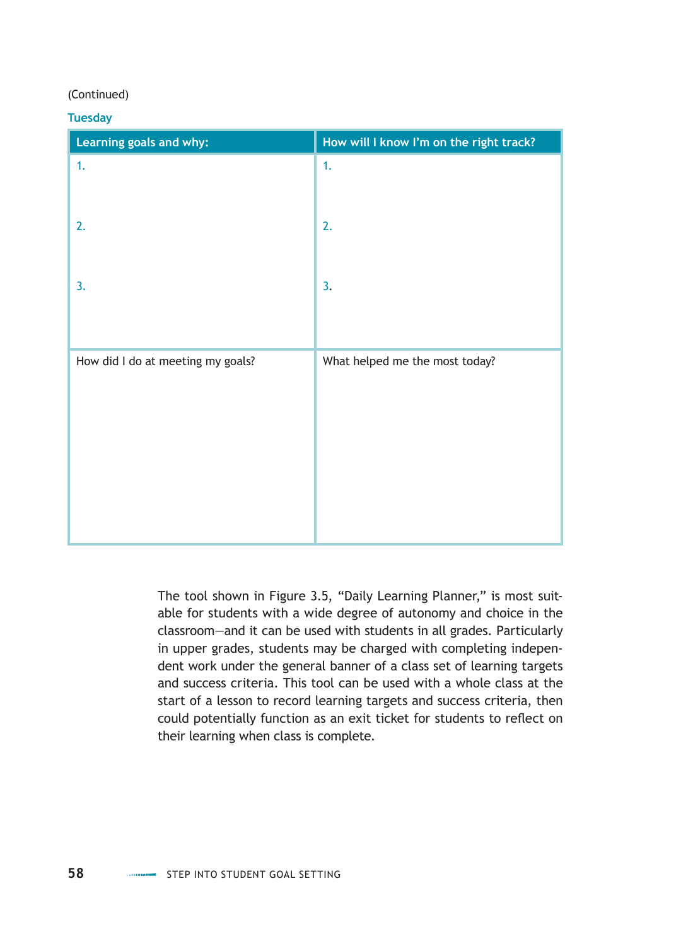#### (Continued)

#### **Tuesday**

| Learning goals and why:           | How will I know I'm on the right track? |
|-----------------------------------|-----------------------------------------|
| 1.                                | 1.                                      |
|                                   |                                         |
| 2.                                | 2.                                      |
|                                   |                                         |
| 3.                                | 3.                                      |
|                                   |                                         |
| How did I do at meeting my goals? | What helped me the most today?          |
|                                   |                                         |
|                                   |                                         |
|                                   |                                         |
|                                   |                                         |
|                                   |                                         |

The tool shown in Figure 3.5, "Daily Learning Planner," is most suitable for students with a wide degree of autonomy and choice in the classroom—and it can be used with students in all grades. Particularly in upper grades, students may be charged with completing independent work under the general banner of a class set of learning targets and success criteria. This tool can be used with a whole class at the start of a lesson to record learning targets and success criteria, then could potentially function as an exit ticket for students to reflect on their learning when class is complete.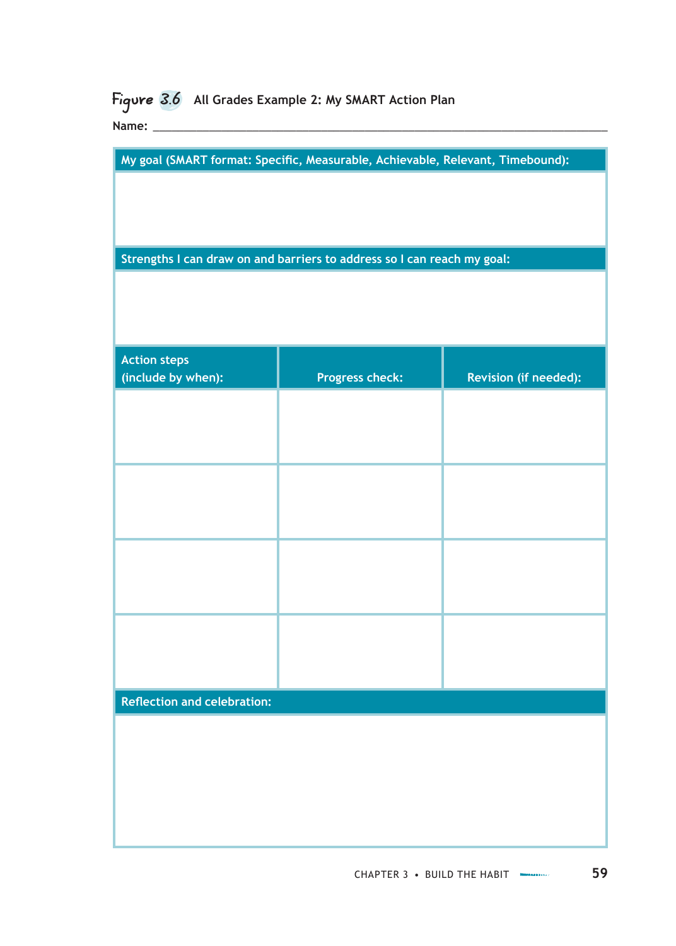# Figure 3.6 **All Grades Example 2: My SMART Action Plan**

**Name:** \_\_\_\_\_\_\_\_\_\_\_\_\_\_\_\_\_\_\_\_\_\_\_\_\_\_\_\_\_\_\_\_\_\_\_\_\_\_\_\_\_\_\_\_\_\_\_\_\_\_\_\_\_\_\_\_\_\_\_\_\_\_\_\_\_\_\_\_\_\_\_\_\_

**My goal (SMART format: Specific, Measurable, Achievable, Relevant, Timebound):**

**Strengths I can draw on and barriers to address so I can reach my goal:**

| <b>Action steps</b><br>(include by when): | <b>Progress check:</b> | Revision (if needed): |
|-------------------------------------------|------------------------|-----------------------|
|                                           |                        |                       |
|                                           |                        |                       |
|                                           |                        |                       |
|                                           |                        |                       |
|                                           |                        |                       |
|                                           |                        |                       |
|                                           |                        |                       |
|                                           |                        |                       |
| <b>Reflection and celebration:</b>        |                        |                       |
|                                           |                        |                       |
|                                           |                        |                       |
|                                           |                        |                       |
|                                           |                        |                       |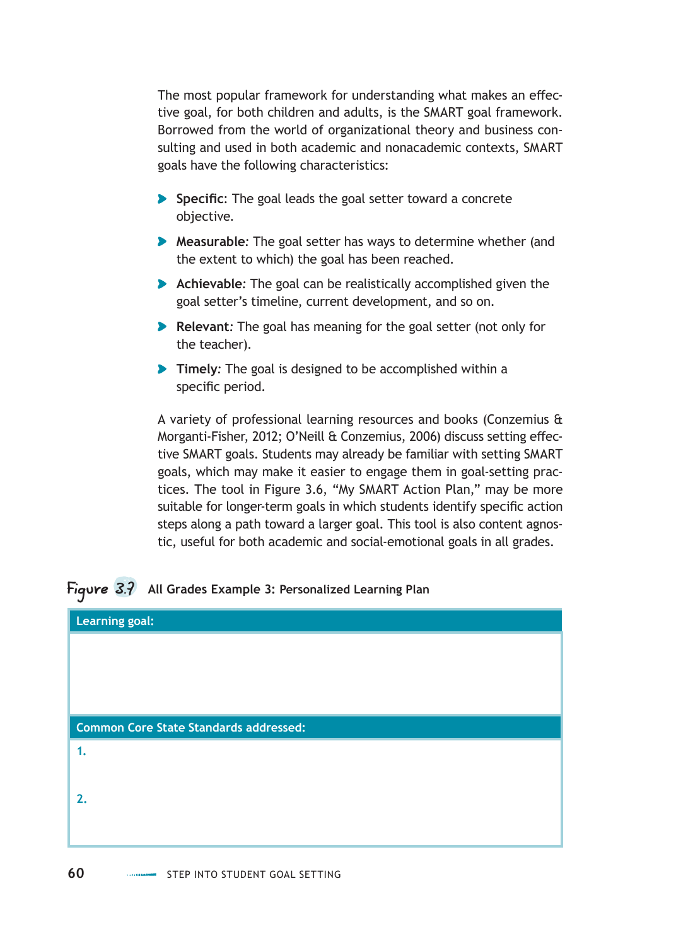The most popular framework for understanding what makes an effective goal, for both children and adults, is the SMART goal framework. Borrowed from the world of organizational theory and business consulting and used in both academic and nonacademic contexts, SMART goals have the following characteristics:

- **Specific**: The goal leads the goal setter toward a concrete objective.
- **Measurable***:* The goal setter has ways to determine whether (and the extent to which) the goal has been reached.
- **Achievable***:* The goal can be realistically accomplished given the goal setter's timeline, current development, and so on.
- **Relevant:** The goal has meaning for the goal setter (not only for the teacher).
- **Timely***:* The goal is designed to be accomplished within a specific period.

A variety of professional learning resources and books (Conzemius & Morganti-Fisher, 2012; O'Neill & Conzemius, 2006) discuss setting effective SMART goals. Students may already be familiar with setting SMART goals, which may make it easier to engage them in goal-setting practices. The tool in Figure 3.6, "My SMART Action Plan," may be more suitable for longer-term goals in which students identify specific action steps along a path toward a larger goal. This tool is also content agnostic, useful for both academic and social-emotional goals in all grades.

### Figure 3.7 **All Grades Example 3: Personalized Learning Plan**